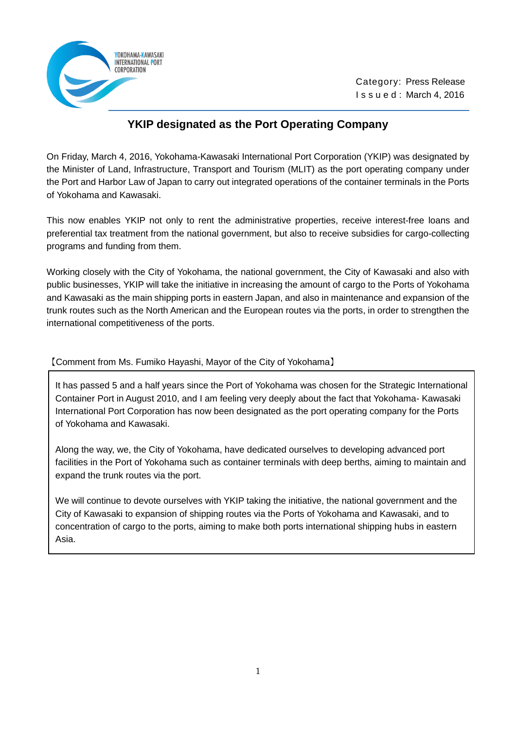

 Category: Press Release I s s u e d : March 4, 2016

## **YKIP designated as the Port Operating Company**

On Friday, March 4, 2016, Yokohama-Kawasaki International Port Corporation (YKIP) was designated by the Minister of Land, Infrastructure, Transport and Tourism (MLIT) as the port operating company under the Port and Harbor Law of Japan to carry out integrated operations of the container terminals in the Ports of Yokohama and Kawasaki.

This now enables YKIP not only to rent the administrative properties, receive interest-free loans and preferential tax treatment from the national government, but also to receive subsidies for cargo-collecting programs and funding from them.

Working closely with the City of Yokohama, the national government, the City of Kawasaki and also with public businesses, YKIP will take the initiative in increasing the amount of cargo to the Ports of Yokohama and Kawasaki as the main shipping ports in eastern Japan, and also in maintenance and expansion of the trunk routes such as the North American and the European routes via the ports, in order to strengthen the international competitiveness of the ports.

【Comment from Ms. Fumiko Hayashi, Mayor of the City of Yokohama】

It has passed 5 and a half years since the Port of Yokohama was chosen for the Strategic International Container Port in August 2010, and I am feeling very deeply about the fact that Yokohama- Kawasaki International Port Corporation has now been designated as the port operating company for the Ports of Yokohama and Kawasaki.

Along the way, we, the City of Yokohama, have dedicated ourselves to developing advanced port facilities in the Port of Yokohama such as container terminals with deep berths, aiming to maintain and expand the trunk routes via the port.

We will continue to devote ourselves with YKIP taking the initiative, the national government and the City of Kawasaki to expansion of shipping routes via the Ports of Yokohama and Kawasaki, and to concentration of cargo to the ports, aiming to make both ports international shipping hubs in eastern Asia.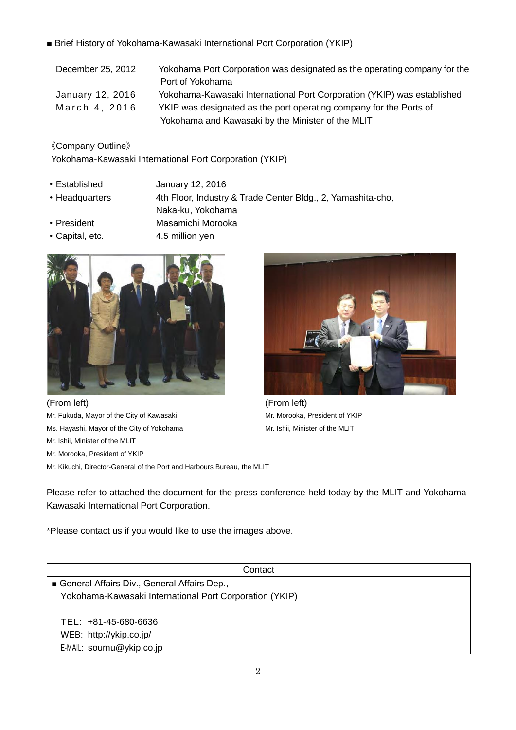■ Brief History of Yokohama-Kawasaki International Port Corporation (YKIP)

| December 25, 2012 | Yokohama Port Corporation was designated as the operating company for the |
|-------------------|---------------------------------------------------------------------------|
|                   | Port of Yokohama                                                          |
| January 12, 2016  | Yokohama-Kawasaki International Port Corporation (YKIP) was established   |
| March 4, 2016     | YKIP was designated as the port operating company for the Ports of        |
|                   | Yokohama and Kawasaki by the Minister of the MLIT                         |

《Company Outline》

Yokohama-Kawasaki International Port Corporation (YKIP)

- ・Established January 12, 2016
- ・Headquarters 4th Floor, Industry & Trade Center Bldg., 2, Yamashita-cho,
- Naka-ku, Yokohama • President Masamichi Morooka
- Capital, etc. 4.5 million yen



(From left) (From left)

Ms. Hayashi, Mayor of the City of Yokohama Mr. Ishii, Minister of the MLIT

Mr. Ishii, Minister of the MLIT

Mr. Morooka, President of YKIP

Mr. Kikuchi, Director-General of the Port and Harbours Bureau, the MLIT



Mr. Fukuda, Mayor of the City of Kawasaki Mr. Morooka, President of YKIP

Please refer to attached the document for the press conference held today by the MLIT and Yokohama-Kawasaki International Port Corporation.

\*Please contact us if you would like to use the images above.